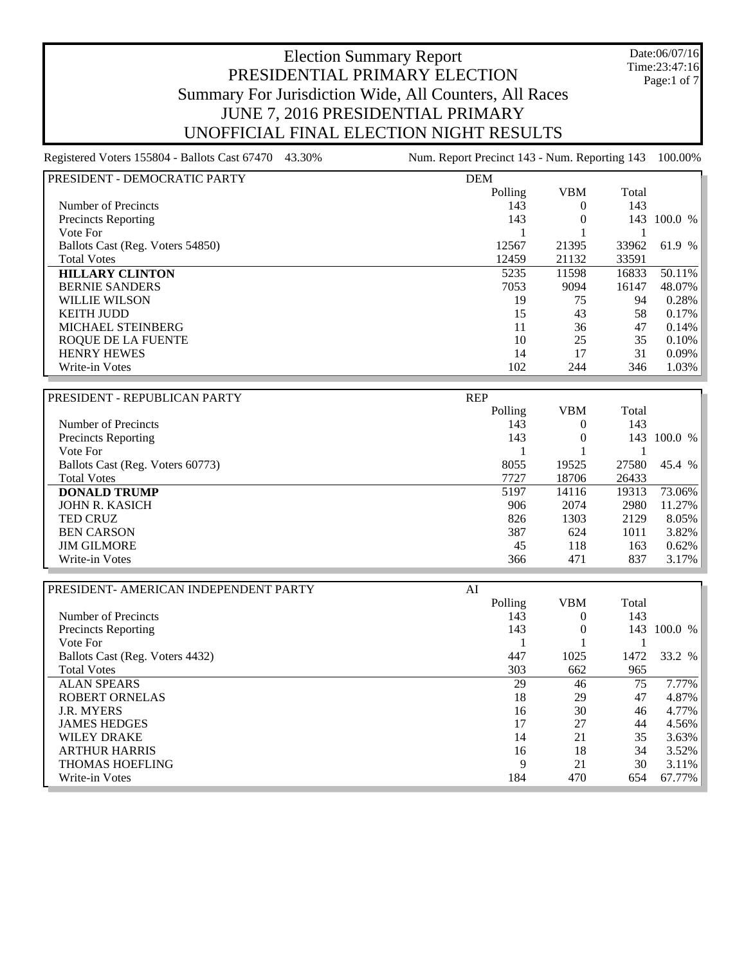Date:06/07/16 Time:23:47:16 Page:1 of 7

#### Election Summary Report PRESIDENTIAL PRIMARY ELECTION Summary For Jurisdiction Wide, All Counters, All Races JUNE 7, 2016 PRESIDENTIAL PRIMARY UNOFFICIAL FINAL ELECTION NIGHT RESULTS

| PRESIDENT - DEMOCRATIC PARTY     | <b>DEM</b> |            |       |         |
|----------------------------------|------------|------------|-------|---------|
|                                  | Polling    | <b>VBM</b> | Total |         |
| Number of Precincts              | 143        | $\theta$   | 143   |         |
| Precincts Reporting              | 143        | 0          | 143   | 100.0 % |
| Vote For                         |            |            |       |         |
| Ballots Cast (Reg. Voters 54850) | 12567      | 21395      | 33962 | 61.9 %  |
| <b>Total Votes</b>               | 12459      | 21132      | 33591 |         |
| <b>HILLARY CLINTON</b>           | 5235       | 11598      | 16833 | 50.11%  |
| <b>BERNIE SANDERS</b>            | 7053       | 9094       | 16147 | 48.07%  |
| <b>WILLIE WILSON</b>             | 19         | 75         | 94    | 0.28%   |
| <b>KEITH JUDD</b>                | 15         | 43         | 58    | 0.17%   |
| <b>MICHAEL STEINBERG</b>         | 11         | 36         | 47    | 0.14%   |
| ROOUE DE LA FUENTE               | 10         | 25         | 35    | 0.10%   |
| <b>HENRY HEWES</b>               | 14         | 17         | 31    | 0.09%   |
| Write-in Votes                   | 102        | 244        | 346   | 1.03%   |

| PRESIDENT - REPUBLICAN PARTY     | <b>REP</b> |          |       |           |
|----------------------------------|------------|----------|-------|-----------|
|                                  | Polling    | VBM      | Total |           |
| Number of Precincts              | 143        | $^{(1)}$ | 143   |           |
| <b>Precincts Reporting</b>       | 143        | 0        | 143   | 100.0 %   |
| Vote For                         |            |          |       |           |
| Ballots Cast (Reg. Voters 60773) | 8055       | 19525    | 27580 | 45.4 %    |
| <b>Total Votes</b>               | 7727       | 18706    | 26433 |           |
| <b>DONALD TRUMP</b>              | 5197       | 14116    | 19313 | 73.06%    |
| JOHN R. KASICH                   | 906        | 2074     | 2980  | $11.27\%$ |
| <b>TED CRUZ</b>                  | 826        | 1303     | 2129  | $8.05\%$  |
| <b>BEN CARSON</b>                | 387        | 624      | 1011  | $3.82\%$  |
| <b>JIM GILMORE</b>               | 45         | 118      | 163   | $0.62\%$  |
| Write-in Votes                   | 366        | 471      | 837   | $3.17\%$  |

| PRESIDENT- AMERICAN INDEPENDENT PARTY | AI |         |            |       |         |
|---------------------------------------|----|---------|------------|-------|---------|
|                                       |    | Polling | <b>VBM</b> | Total |         |
| Number of Precincts                   |    | 143     | 0          | 143   |         |
| <b>Precincts Reporting</b>            |    | 143     |            | 143   | 100.0 % |
| Vote For                              |    |         |            |       |         |
| Ballots Cast (Reg. Voters 4432)       |    | 447     | 1025       | 1472  | 33.2 %  |
| <b>Total Votes</b>                    |    | 303     | 662        | 965   |         |
| <b>ALAN SPEARS</b>                    |    | 29      | 46         | 75    | 7.77%   |
| <b>ROBERT ORNELAS</b>                 |    | 18      | 29         | 47    | 4.87%   |
| <b>J.R. MYERS</b>                     |    | 16      | 30         | 46    | 4.77%   |
| <b>JAMES HEDGES</b>                   |    | 17      | 27         | 44    | 4.56%   |
| <b>WILEY DRAKE</b>                    |    | 14      | 21         | 35    | 3.63%   |
| <b>ARTHUR HARRIS</b>                  |    | 16      | 18         | 34    | 3.52%   |
| <b>THOMAS HOEFLING</b>                |    | 9       | 21         | 30    | 3.11%   |
| Write-in Votes                        |    | 184     | 470        | 654   | 67.77%  |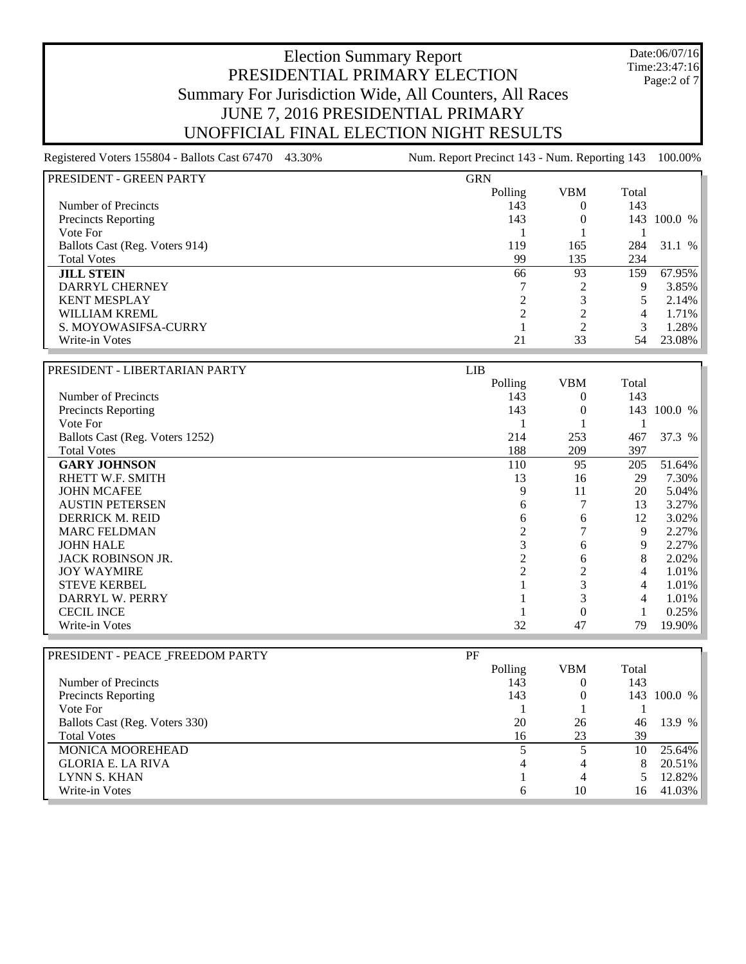#### Date:06/07/16 Time:23:47:16 Page:2 of 7

# Election Summary Report PRESIDENTIAL PRIMARY ELECTION Summary For Jurisdiction Wide, All Counters, All Races JUNE 7, 2016 PRESIDENTIAL PRIMARY UNOFFICIAL FINAL ELECTION NIGHT RESULTS

| I PRESIDENT - GREEN PARTY      | <b>GRN</b> |            |       |             |
|--------------------------------|------------|------------|-------|-------------|
|                                | Polling    | <b>VBM</b> | Total |             |
| Number of Precincts            | 143        |            | 143   |             |
| <b>Precincts Reporting</b>     | 143        |            |       | 143 100.0 % |
| Vote For                       |            |            |       |             |
| Ballots Cast (Reg. Voters 914) | 119        | 165        | 284   | 31.1 %      |
| <b>Total Votes</b>             | 99         | 135        | 234   |             |
| <b>JILL STEIN</b>              | 66         | 93         | 159   | 67.95%      |
| DARRYL CHERNEY                 |            |            | 9     | 3.85%       |
| <b>KENT MESPLAY</b>            |            |            |       | 2.14%       |
| WILLIAM KREML                  |            |            |       | 1.71%       |
| S. MOYOWASIFSA-CURRY           |            |            | 3     | 1.28%       |
| Write-in Votes                 | 21         | 33         | 54    | 23.08%      |

| PRESIDENT - LIBERTARIAN PARTY   | LIB     |            |       |         |
|---------------------------------|---------|------------|-------|---------|
|                                 | Polling | <b>VBM</b> | Total |         |
| Number of Precincts             | 143     | $^{(1)}$   | 143   |         |
| <b>Precincts Reporting</b>      | 143     |            | 143   | 100.0 % |
| Vote For                        |         |            |       |         |
| Ballots Cast (Reg. Voters 1252) | 214     | 253        | 467   | 37.3 %  |
| <b>Total Votes</b>              | 188     | 209        | 397   |         |
| <b>GARY JOHNSON</b>             | 110     | 95         | 205   | 51.64%  |
| RHETT W.F. SMITH                | 13      | 16         | 29    | 7.30%   |
| <b>JOHN MCAFEE</b>              | 9       | 11         | 20    | 5.04%   |
| <b>AUSTIN PETERSEN</b>          | 6       |            | 13    | 3.27%   |
| <b>DERRICK M. REID</b>          | 6       | 6          | 12    | 3.02%   |
| <b>MARC FELDMAN</b>             | 2       |            | 9     | 2.27%   |
| <b>JOHN HALE</b>                | Ć       | 6          | 9     | 2.27%   |
| <b>JACK ROBINSON JR.</b>        |         | 6          | 8     | 2.02%   |
| <b>JOY WAYMIRE</b>              |         | 2          | 4     | 1.01%   |
| <b>STEVE KERBEL</b>             |         |            | 4     | 1.01%   |
| DARRYL W. PERRY                 |         |            | 4     | 1.01%   |
| <b>CECIL INCE</b>               |         |            |       | 0.25%   |
| Write-in Votes                  | 32      | 47         | 79    | 19.90%  |

| PF      |            |       |             |
|---------|------------|-------|-------------|
| Polling | <b>VBM</b> | Total |             |
| 143     |            | 143   |             |
| 143     |            |       | 143 100.0 % |
|         |            |       |             |
| 20      | 26         | 46    | 13.9 %      |
| 16      | 23         | 39    |             |
|         |            | 10    | 25.64%      |
| 4       | 4          |       | 20.51%      |
|         | 4          |       | 12.82%      |
| 6       | 10         | 16    | 41.03%      |
|         |            |       |             |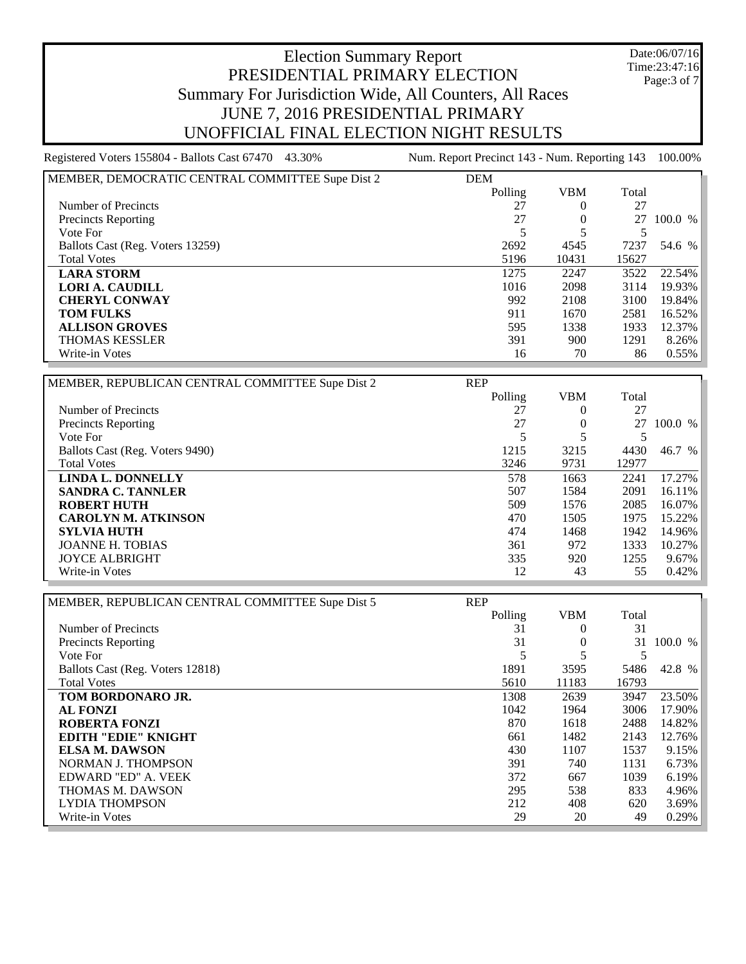Date:06/07/16 Time:23:47:16 Page:3 of 7

| MEMBER, DEMOCRATIC CENTRAL COMMITTEE Supe Dist 2 | <b>DEM</b> |            |       |           |
|--------------------------------------------------|------------|------------|-------|-----------|
|                                                  | Polling    | <b>VBM</b> | Total |           |
| Number of Precincts                              | 27         |            | 27    |           |
| <b>Precincts Reporting</b>                       | 27         |            | 27    | 100.0 %   |
| Vote For                                         |            |            |       |           |
| Ballots Cast (Reg. Voters 13259)                 | 2692       | 4545       | 7237  | 54.6 %    |
| <b>Total Votes</b>                               | 5196       | 10431      | 15627 |           |
| <b>LARA STORM</b>                                | 1275       | 2247       | 3522  | $22.54\%$ |
| <b>LORI A. CAUDILL</b>                           | 1016       | 2098       | 3114  | 19.93%    |
| <b>CHERYL CONWAY</b>                             | 992        | 2108       | 3100  | 19.84%    |
| <b>TOM FULKS</b>                                 | 911        | 1670       | 2581  | $16.52\%$ |
| <b>ALLISON GROVES</b>                            | 595        | 1338       | 1933  | 12.37%    |
| <b>THOMAS KESSLER</b>                            | 391        | 900        | 1291  | $8.26\%$  |
| Write-in Votes                                   | 16         | 70         | 86    | $0.55\%$  |

| MEMBER, REPUBLICAN CENTRAL COMMITTEE Supe Dist 2 | <b>REP</b> |            |       |         |
|--------------------------------------------------|------------|------------|-------|---------|
|                                                  | Polling    | <b>VBM</b> | Total |         |
| Number of Precincts                              | 27         |            | 27    |         |
| <b>Precincts Reporting</b>                       | 27         |            | 27    | 100.0 % |
| Vote For                                         |            |            |       |         |
| Ballots Cast (Reg. Voters 9490)                  | 1215       | 3215       | 4430  | 46.7 %  |
| <b>Total Votes</b>                               | 3246       | 9731       | 12977 |         |
| <b>LINDA L. DONNELLY</b>                         | 578        | 1663       | 2241  | 17.27%  |
| <b>SANDRA C. TANNLER</b>                         | 507        | 1584       | 2091  | 16.11%  |
| <b>ROBERT HUTH</b>                               | 509        | 1576       | 2085  | 16.07%  |
| <b>CAROLYN M. ATKINSON</b>                       | 470        | 1505       | 1975  | 15.22%  |
| <b>SYLVIA HUTH</b>                               | 474        | 1468       | 1942  | 14.96%  |
| <b>JOANNE H. TOBIAS</b>                          | 361        | 972        | 1333  | 10.27%  |
| <b>JOYCE ALBRIGHT</b>                            | 335        | 920        | 1255  | 9.67%   |
| Write-in Votes                                   | 12         | 43         | 55    | 0.42%   |

| MEMBER, REPUBLICAN CENTRAL COMMITTEE Supe Dist 5 | <b>REP</b> |            |       |        |
|--------------------------------------------------|------------|------------|-------|--------|
|                                                  | Polling    | <b>VBM</b> | Total |        |
| Number of Precincts                              | 31         | $\theta$   | 31    |        |
| <b>Precincts Reporting</b>                       | 31         | $\theta$   | 31    | 100.0% |
| Vote For                                         |            |            | 5     |        |
| Ballots Cast (Reg. Voters 12818)                 | 1891       | 3595       | 5486  | 42.8 % |
| <b>Total Votes</b>                               | 5610       | 11183      | 16793 |        |
| TOM BORDONARO JR.                                | 1308       | 2639       | 3947  | 23.50% |
| <b>AL FONZI</b>                                  | 1042       | 1964       | 3006  | 17.90% |
| <b>ROBERTA FONZI</b>                             | 870        | 1618       | 2488  | 14.82% |
| EDITH "EDIE" KNIGHT                              | 661        | 1482       | 2143  | 12.76% |
| <b>ELSA M. DAWSON</b>                            | 430        | 1107       | 1537  | 9.15%  |
| NORMAN J. THOMPSON                               | 391        | 740        | 1131  | 6.73%  |
| EDWARD "ED" A. VEEK                              | 372        | 667        | 1039  | 6.19%  |
| <b>THOMAS M. DAWSON</b>                          | 295        | 538        | 833   | 4.96%  |
| <b>LYDIA THOMPSON</b>                            | 212        | 408        | 620   | 3.69%  |
| Write-in Votes                                   | 29         | 20         | 49    | 0.29%  |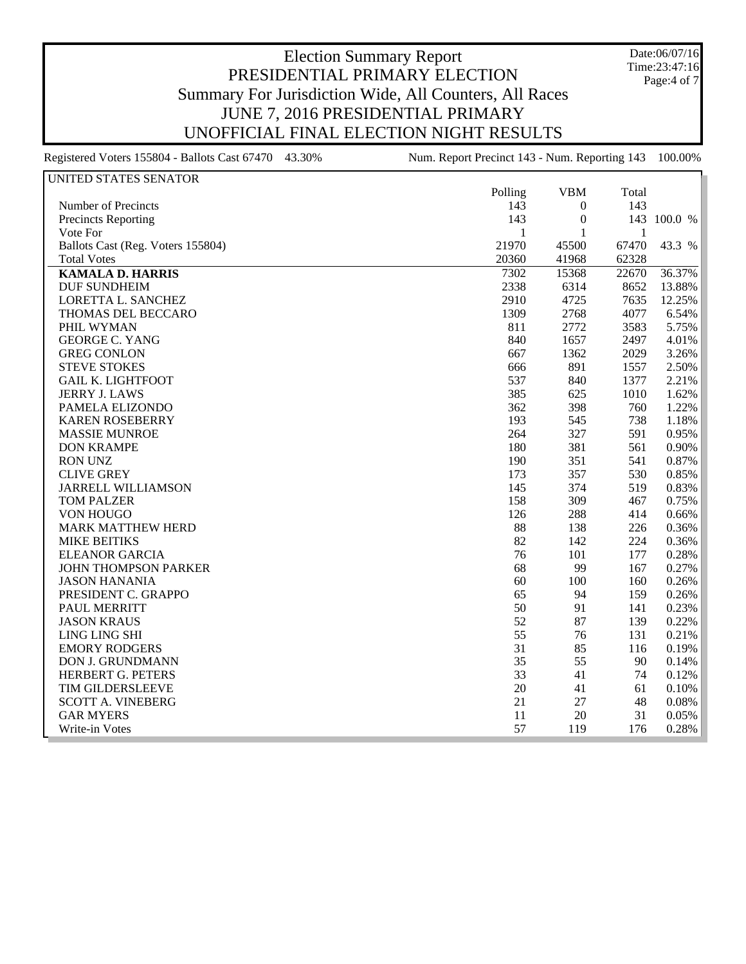Date:06/07/16 Time:23:47:16 Page:4 of 7

| UNITED STATES SENATOR             |              |                  |       |             |
|-----------------------------------|--------------|------------------|-------|-------------|
|                                   | Polling      | <b>VBM</b>       | Total |             |
| Number of Precincts               | 143          | $\boldsymbol{0}$ | 143   |             |
| Precincts Reporting               | 143          | 0                |       | 143 100.0 % |
| Vote For                          | $\mathbf{1}$ | $\mathbf{1}$     | 1     |             |
| Ballots Cast (Reg. Voters 155804) | 21970        | 45500            | 67470 | 43.3 %      |
| <b>Total Votes</b>                | 20360        | 41968            | 62328 |             |
| <b>KAMALA D. HARRIS</b>           | 7302         | 15368            | 22670 | 36.37%      |
| <b>DUF SUNDHEIM</b>               | 2338         | 6314             | 8652  | 13.88%      |
| LORETTA L. SANCHEZ                | 2910         | 4725             | 7635  | 12.25%      |
| THOMAS DEL BECCARO                | 1309         | 2768             | 4077  | 6.54%       |
| PHIL WYMAN                        | 811          | 2772             | 3583  | 5.75%       |
| <b>GEORGE C. YANG</b>             | 840          | 1657             | 2497  | 4.01%       |
| <b>GREG CONLON</b>                | 667          | 1362             | 2029  | 3.26%       |
| <b>STEVE STOKES</b>               | 666          | 891              | 1557  | 2.50%       |
| <b>GAIL K. LIGHTFOOT</b>          | 537          | 840              | 1377  | 2.21%       |
| <b>JERRY J. LAWS</b>              | 385          | 625              | 1010  | 1.62%       |
| PAMELA ELIZONDO                   | 362          | 398              | 760   | 1.22%       |
| <b>KAREN ROSEBERRY</b>            | 193          | 545              | 738   | 1.18%       |
| <b>MASSIE MUNROE</b>              | 264          | 327              | 591   | 0.95%       |
| <b>DON KRAMPE</b>                 | 180          | 381              | 561   | 0.90%       |
| <b>RON UNZ</b>                    | 190          | 351              | 541   | 0.87%       |
| <b>CLIVE GREY</b>                 | 173          | 357              | 530   | 0.85%       |
| <b>JARRELL WILLIAMSON</b>         | 145          | 374              | 519   | 0.83%       |
| <b>TOM PALZER</b>                 | 158          | 309              | 467   | 0.75%       |
| VON HOUGO                         | 126          | 288              | 414   | 0.66%       |
| <b>MARK MATTHEW HERD</b>          | 88           | 138              | 226   | 0.36%       |
| <b>MIKE BEITIKS</b>               | 82           | 142              | 224   | 0.36%       |
| <b>ELEANOR GARCIA</b>             | 76           | 101              | 177   | 0.28%       |
| <b>JOHN THOMPSON PARKER</b>       | 68           | 99               | 167   | 0.27%       |
| <b>JASON HANANIA</b>              | 60           | 100              | 160   | 0.26%       |
| PRESIDENT C. GRAPPO               | 65           | 94               | 159   | 0.26%       |
| PAUL MERRITT                      | 50           | 91               | 141   | 0.23%       |
| <b>JASON KRAUS</b>                | 52           | 87               | 139   | 0.22%       |
| LING LING SHI                     | 55           | 76               | 131   | 0.21%       |
| <b>EMORY RODGERS</b>              | 31           | 85               | 116   | 0.19%       |
| <b>DON J. GRUNDMANN</b>           | 35           | 55               | 90    | 0.14%       |
| HERBERT G. PETERS                 | 33           | 41               | 74    | 0.12%       |
| TIM GILDERSLEEVE                  | 20           | 41               | 61    | 0.10%       |
| <b>SCOTT A. VINEBERG</b>          | 21           | 27               | 48    | 0.08%       |
| <b>GAR MYERS</b>                  | 11           | 20               | 31    | 0.05%       |
| Write-in Votes                    | 57           | 119              | 176   | 0.28%       |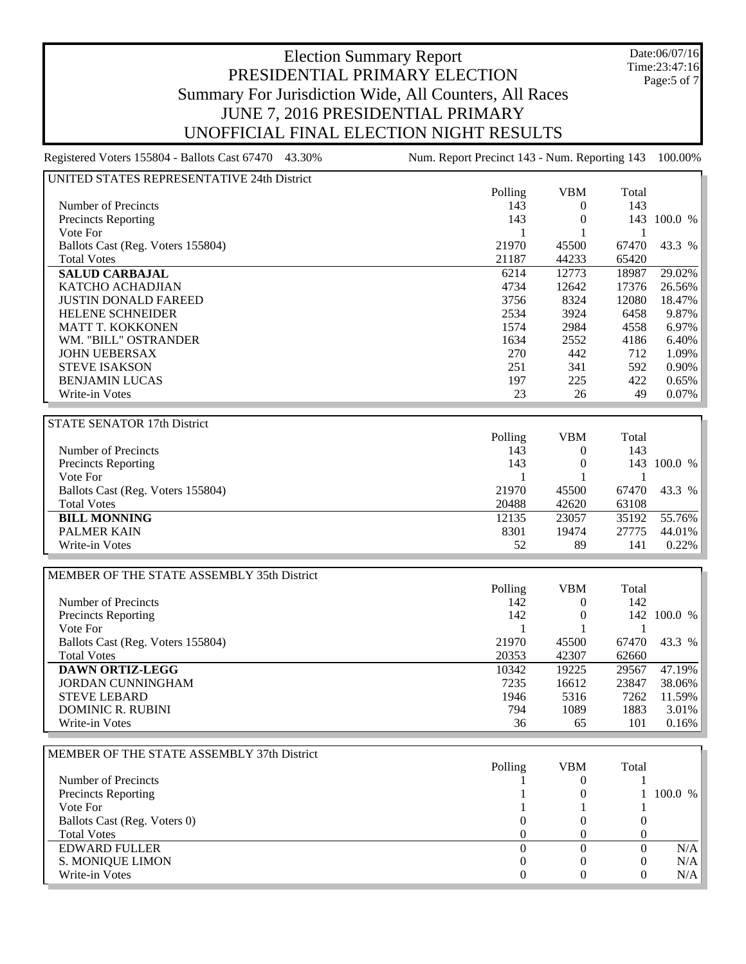Date:06/07/16 Time:23:47:16 Page:5 of 7

| UNITED STATES REPRESENTATIVE 24th District |                  |                  |                  |             |
|--------------------------------------------|------------------|------------------|------------------|-------------|
|                                            | Polling          | <b>VBM</b>       | Total            |             |
| Number of Precincts                        | 143              | $\overline{0}$   | 143              |             |
| <b>Precincts Reporting</b>                 | 143              | $\boldsymbol{0}$ |                  | 143 100.0 % |
| Vote For                                   | 1                | 1                | -1               |             |
|                                            |                  |                  |                  |             |
| Ballots Cast (Reg. Voters 155804)          | 21970            | 45500            | 67470            | 43.3 %      |
| <b>Total Votes</b>                         | 21187            | 44233            | 65420            |             |
| <b>SALUD CARBAJAL</b>                      | 6214             | 12773            | 18987            | 29.02%      |
| KATCHO ACHADJIAN                           | 4734             | 12642            | 17376            | 26.56%      |
| <b>JUSTIN DONALD FAREED</b>                | 3756             | 8324             | 12080            | 18.47%      |
| HELENE SCHNEIDER                           | 2534             | 3924             | 6458             | 9.87%       |
| <b>MATT T. KOKKONEN</b>                    | 1574             | 2984             | 4558             | 6.97%       |
| WM. "BILL" OSTRANDER                       | 1634             | 2552             | 4186             | 6.40%       |
| <b>JOHN UEBERSAX</b>                       | 270              | 442              | 712              | 1.09%       |
| <b>STEVE ISAKSON</b>                       | 251              | 341              | 592              | 0.90%       |
| <b>BENJAMIN LUCAS</b>                      | 197              | 225              | 422              | 0.65%       |
| Write-in Votes                             | 23               | 26               | 49               | 0.07%       |
|                                            |                  |                  |                  |             |
|                                            |                  |                  |                  |             |
| STATE SENATOR 17th District                |                  |                  |                  |             |
|                                            | Polling          | <b>VBM</b>       | Total            |             |
| Number of Precincts                        | 143              | $\boldsymbol{0}$ | 143              |             |
| Precincts Reporting                        | 143              | $\boldsymbol{0}$ |                  | 143 100.0 % |
| Vote For                                   | 1                |                  | $\mathbf{1}$     |             |
| Ballots Cast (Reg. Voters 155804)          | 21970            | 45500            | 67470            | 43.3 %      |
| <b>Total Votes</b>                         | 20488            | 42620            | 63108            |             |
| <b>BILL MONNING</b>                        | 12135            | 23057            | 35192            | 55.76%      |
| <b>PALMER KAIN</b>                         | 8301             | 19474            | 27775            | 44.01%      |
| Write-in Votes                             | 52               | 89               | 141              | 0.22%       |
|                                            |                  |                  |                  |             |
| MEMBER OF THE STATE ASSEMBLY 35th District |                  |                  |                  |             |
|                                            | Polling          | <b>VBM</b>       | Total            |             |
| Number of Precincts                        | 142              | $\boldsymbol{0}$ | 142              |             |
|                                            | 142              |                  |                  | 142 100.0 % |
| Precincts Reporting                        |                  | $\boldsymbol{0}$ |                  |             |
| Vote For                                   | 1                | 1                | 1                |             |
| Ballots Cast (Reg. Voters 155804)          | 21970            | 45500            | 67470            | 43.3 %      |
| <b>Total Votes</b>                         | 20353            | 42307            | 62660            |             |
|                                            |                  |                  |                  |             |
| <b>DAWN ORTIZ-LEGG</b>                     | 10342            | 19225            | 29567            | 47.19%      |
| <b>JORDAN CUNNINGHAM</b>                   | 7235             | 16612            | 23847            | 38.06%      |
| <b>STEVE LEBARD</b>                        | 1946             | 5316             | 7262             | 11.59%      |
| <b>DOMINIC R. RUBINI</b>                   | 794              | 1089             | 1883             | 3.01%       |
| Write-in Votes                             | 36               | 65               | 101              | 0.16%       |
|                                            |                  |                  |                  |             |
|                                            |                  |                  |                  |             |
| MEMBER OF THE STATE ASSEMBLY 37th District |                  |                  |                  |             |
|                                            | Polling          | <b>VBM</b>       | Total            |             |
| Number of Precincts                        |                  | 0                |                  |             |
| Precincts Reporting                        |                  | 0                | 1                | 100.0 %     |
| Vote For                                   |                  |                  |                  |             |
| Ballots Cast (Reg. Voters 0)               | 0                | 0                | $\theta$         |             |
| <b>Total Votes</b>                         | 0                | 0                | $\boldsymbol{0}$ |             |
| <b>EDWARD FULLER</b>                       | $\boldsymbol{0}$ | $\overline{0}$   | $\mathbf{0}$     | N/A         |
| S. MONIQUE LIMON                           | $\boldsymbol{0}$ | 0                | $\boldsymbol{0}$ | N/A         |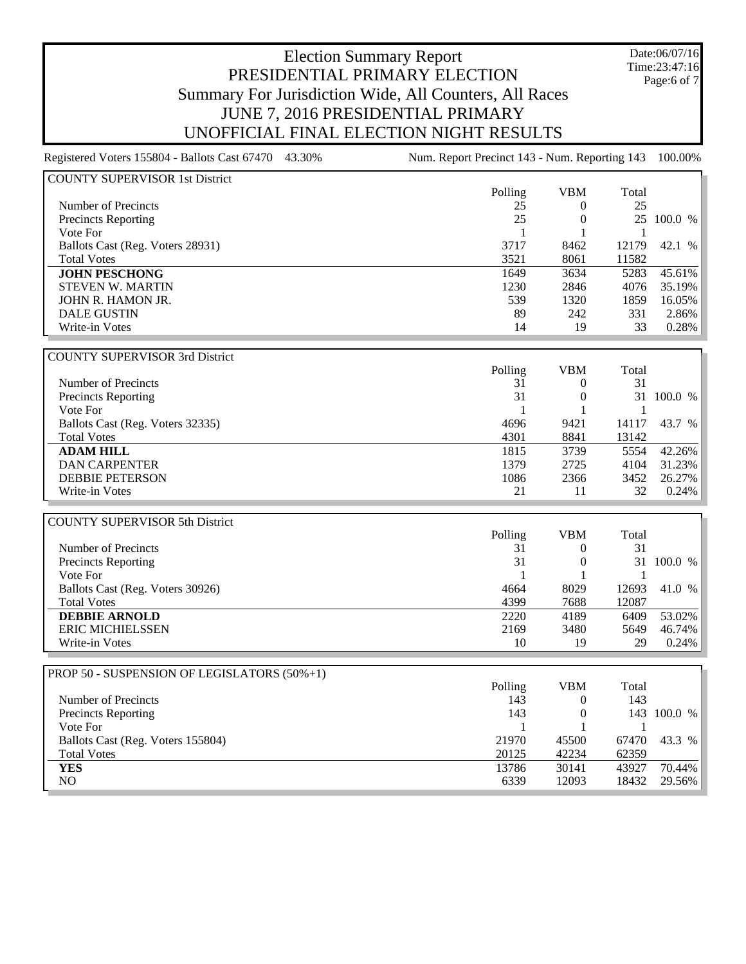Registered Voters 155804 - Ballots Cast 67470 43.30% Num. Report Precinct 143 - Num. Reporting 143 100.00%

Date:06/07/16 Time:23:47:16 Page:6 of 7

| <b>COUNTY SUPERVISOR 1st District</b> |         |            |       |         |
|---------------------------------------|---------|------------|-------|---------|
|                                       | Polling | <b>VBM</b> | Total |         |
| Number of Precincts                   | 25      | $\theta$   | 25    |         |
| <b>Precincts Reporting</b>            | 25      | 0          | 25    | 100.0 % |
| Vote For                              |         |            |       |         |
| Ballots Cast (Reg. Voters 28931)      | 3717    | 8462       | 12179 | 42.1 %  |
| <b>Total Votes</b>                    | 3521    | 8061       | 11582 |         |
| <b>JOHN PESCHONG</b>                  | 1649    | 3634       | 5283  | 45.61%  |
| <b>STEVEN W. MARTIN</b>               | 1230    | 2846       | 4076  | 35.19%  |
| JOHN R. HAMON JR.                     | 539     | 1320       | 1859  | 16.05%  |
| <b>DALE GUSTIN</b>                    | 89      | 242        | 331   | 2.86%   |
| Write-in Votes                        | 14      | 19         | 33    | 0.28%   |
|                                       |         |            |       |         |
| <b>COUNTY SUPERVISOR 3rd District</b> |         |            |       |         |
|                                       | Polling | <b>VBM</b> | Total |         |
| Number of Precincts                   | 31      | $\theta$   | 31    |         |
| <b>Precincts Reporting</b>            | 31      | 0          | 31    | 100.0 % |
| Vote For                              |         |            | 1     |         |
| Ballots Cast (Reg. Voters 32335)      | 4696    | 9421       | 14117 | 43.7 %  |
| <b>Total Votes</b>                    | 4301    | 8841       | 13142 |         |
| <b>ADAM HILL</b>                      | 1815    | 3739       | 5554  | 42.26%  |
| <b>DAN CARPENTER</b>                  | 1379    | 2725       | 4104  | 31.23%  |
| <b>DEBBIE PETERSON</b>                | 1086    | 2366       | 3452  | 26.27%  |
| Write-in Votes                        | 21      | 11         | 32    | 0.24%   |
|                                       |         |            |       |         |
| <b>COUNTY SUPERVISOR 5th District</b> |         |            |       |         |
|                                       | Polling | <b>VBM</b> | Total |         |
| Number of Precincts                   | 31      | 0          | 31    |         |
| Precincts Reporting                   | 31      | 0          | 31    | 100.0 % |
| Vote For                              | 1       |            | 1     |         |
| Ballots Cast (Reg. Voters 30926)      | 4664    | 8029       | 12693 | 41.0 %  |
| <b>Total Votes</b>                    | 4399    | 7688       | 12087 |         |
| <b>DEBBIE ARNOLD</b>                  | 2220    | 4189       | 6409  | 53.02%  |
| <b>ERIC MICHIELSSEN</b>               | 2169    | 3480       | 5649  | 46.74%  |

| PROP 50 - SUSPENSION OF LEGISLATORS (50%+1) |         |       |       |             |
|---------------------------------------------|---------|-------|-------|-------------|
|                                             | Polling | VBM   | Total |             |
| Number of Precincts                         | 143     |       | 143   |             |
| <b>Precincts Reporting</b>                  | 143     |       |       | 143 100.0 % |
| Vote For                                    |         |       |       |             |
| Ballots Cast (Reg. Voters 155804)           | 21970   | 45500 | 67470 | 43.3 %      |
| <b>Total Votes</b>                          | 20125   | 42234 | 62359 |             |
| <b>YES</b>                                  | 13786   | 30141 | 43927 | 70.44%      |
| NO.                                         | 6339    | 12093 | 18432 | 29.56%      |
|                                             |         |       |       |             |

Write-in Votes 29 0.24%